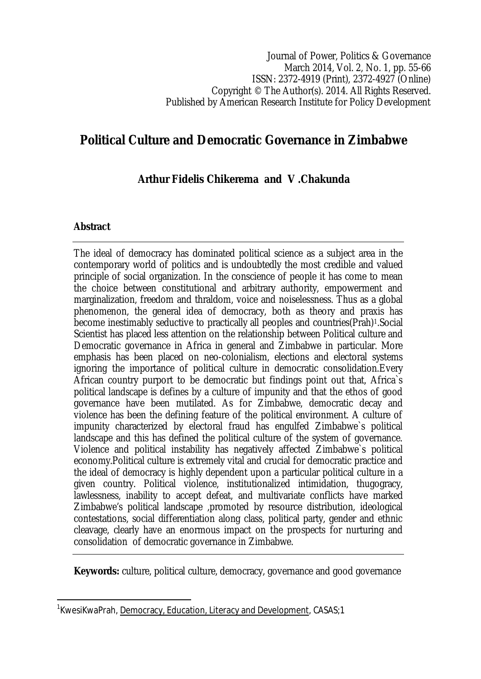# **Political Culture and Democratic Governance in Zimbabwe**

#### **Arthur Fidelis Chikerema and V .Chakunda**

#### **Abstract**

 $\overline{a}$ 

The ideal of democracy has dominated political science as a subject area in the contemporary world of politics and is undoubtedly the most credible and valued principle of social organization. In the conscience of people it has come to mean the choice between constitutional and arbitrary authority, empowerment and marginalization, freedom and thraldom, voice and noiselessness. Thus as a global phenomenon, the general idea of democracy, both as theory and praxis has become inestimably seductive to practically all peoples and countries(Prah)1.Social Scientist has placed less attention on the relationship between Political culture and Democratic governance in Africa in general and Zimbabwe in particular. More emphasis has been placed on neo-colonialism, elections and electoral systems ignoring the importance of political culture in democratic consolidation.Every African country purport to be democratic but findings point out that, Africa`s political landscape is defines by a culture of impunity and that the ethos of good governance have been mutilated. As for Zimbabwe, democratic decay and violence has been the defining feature of the political environment. A culture of impunity characterized by electoral fraud has engulfed Zimbabwe`s political landscape and this has defined the political culture of the system of governance. Violence and political instability has negatively affected Zimbabwe`s political economy.Political culture is extremely vital and crucial for democratic practice and the ideal of democracy is highly dependent upon a particular political culture in a given country. Political violence, institutionalized intimidation, thugogracy, lawlessness, inability to accept defeat, and multivariate conflicts have marked Zimbabwe's political landscape ,promoted by resource distribution, ideological contestations, social differentiation along class, political party, gender and ethnic cleavage, clearly have an enormous impact on the prospects for nurturing and consolidation of democratic governance in Zimbabwe.

**Keywords:** culture, political culture, democracy, governance and good governance

<sup>&</sup>lt;sup>1</sup>KwesiKwaPrah, <u>Democracy, Education, Literacy and Development</u>, CASAS;1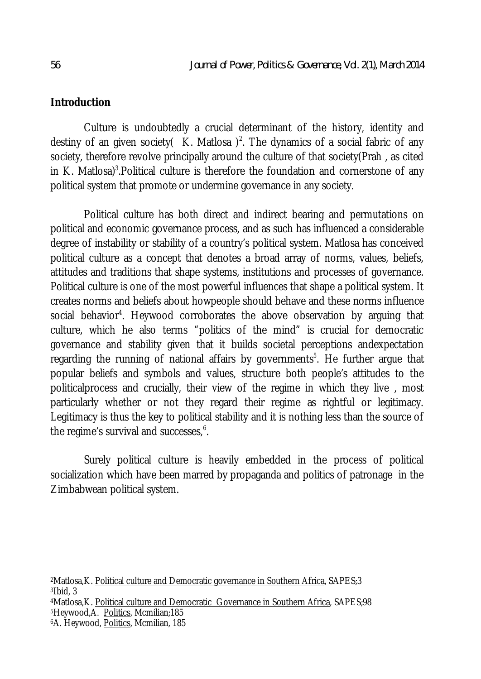#### **Introduction**

Culture is undoubtedly a crucial determinant of the history, identity and destiny of an given society (K. Matlosa)<sup>2</sup>. The dynamics of a social fabric of any society, therefore revolve principally around the culture of that society(Prah , as cited in K. Matlosa)<sup>3</sup>. Political culture is therefore the foundation and cornerstone of any political system that promote or undermine governance in any society.

Political culture has both direct and indirect bearing and permutations on political and economic governance process, and as such has influenced a considerable degree of instability or stability of a country's political system. Matlosa has conceived political culture as a concept that denotes a broad array of norms, values, beliefs, attitudes and traditions that shape systems, institutions and processes of governance. Political culture is one of the most powerful influences that shape a political system. It creates norms and beliefs about howpeople should behave and these norms influence social behavior<sup>4</sup>. Heywood corroborates the above observation by arguing that culture, which he also terms "politics of the mind" is crucial for democratic governance and stability given that it builds societal perceptions andexpectation regarding the running of national affairs by governments<sup>5</sup>. He further argue that popular beliefs and symbols and values, structure both people's attitudes to the politicalprocess and crucially, their view of the regime in which they live , most particularly whether or not they regard their regime as rightful or legitimacy. Legitimacy is thus the key to political stability and it is nothing less than the source of the regime's survival and successes, $^6$ .

Surely political culture is heavily embedded in the process of political socialization which have been marred by propaganda and politics of patronage in the Zimbabwean political system.

 $\overline{a}$ <sup>2</sup>Matlosa,K. <u>Political culture and Democratic governance in Southern Africa,</u> SAPES;3 <sup>3</sup>Ibid, 3

<sup>4</sup>Matlosa,K. Political culture and Democratic Governance in Southern Africa, SAPES;98 <sup>5</sup>Heywood,A. Politics, Mcmilian;185

<sup>6</sup>A. Heywood, Politics, Mcmilian, 185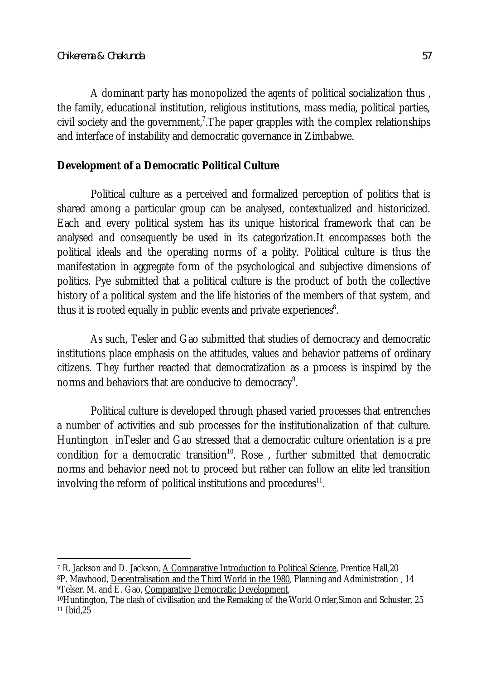A dominant party has monopolized the agents of political socialization thus , the family, educational institution, religious institutions, mass media, political parties, civil society and the government,<sup>7</sup>. The paper grapples with the complex relationships and interface of instability and democratic governance in Zimbabwe.

### **Development of a Democratic Political Culture**

Political culture as a perceived and formalized perception of politics that is shared among a particular group can be analysed, contextualized and historicized. Each and every political system has its unique historical framework that can be analysed and consequently be used in its categorization.It encompasses both the political ideals and the operating norms of a polity. Political culture is thus the manifestation in aggregate form of the psychological and subjective dimensions of politics. Pye submitted that a political culture is the product of both the collective history of a political system and the life histories of the members of that system, and thus it is rooted equally in public events and private experiences $^{\rm 8}.$ 

As such, Tesler and Gao submitted that studies of democracy and democratic institutions place emphasis on the attitudes, values and behavior patterns of ordinary citizens. They further reacted that democratization as a process is inspired by the norms and behaviors that are conducive to democracy $^{\circ}$ .

Political culture is developed through phased varied processes that entrenches a number of activities and sub processes for the institutionalization of that culture. Huntington inTesler and Gao stressed that a democratic culture orientation is a pre condition for a democratic transition<sup>10</sup>. Rose, further submitted that democratic norms and behavior need not to proceed but rather can follow an elite led transition involving the reform of political institutions and procedures $^{\rm 11}.$ 

 $\overline{a}$ <sup>7</sup> R. Jackson and D. Jackson, <u>A Comparative Introduction to Political Science</u>, Prentice Hall,20 <sup>8</sup>P. Mawhood, Decentralisation and the Third World in the 1980, Planning and Administration , 14 <sup>9</sup>Telser. M. and E. Gao, Comparative Democratic Development,

<sup>10</sup>Huntington, The clash of civilisation and the Remaking of the World Order, Simon and Schuster, 25 <sup>11</sup> Ibid,25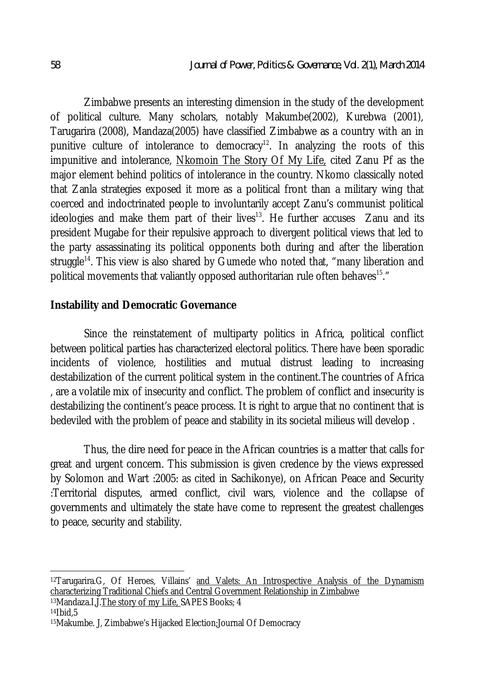Zimbabwe presents an interesting dimension in the study of the development of political culture. Many scholars, notably Makumbe(2002), Kurebwa (2001), Tarugarira (2008), Mandaza(2005) have classified Zimbabwe as a country with an in punitive culture of intolerance to democracy<sup>12</sup>. In analyzing the roots of this impunitive and intolerance, Nkomoin The Story Of My Life, cited Zanu Pf as the major element behind politics of intolerance in the country. Nkomo classically noted that Zanla strategies exposed it more as a political front than a military wing that coerced and indoctrinated people to involuntarily accept Zanu's communist political  $ideologies$  and make them part of their lives<sup>13</sup>. He further accuses  $Z$ anu and its president Mugabe for their repulsive approach to divergent political views that led to the party assassinating its political opponents both during and after the liberation struggle<sup>14</sup>. This view is also shared by Gumede who noted that, "many liberation and political movements that valiantly opposed authoritarian rule often behaves<sup>15</sup>."

#### **Instability and Democratic Governance**

Since the reinstatement of multiparty politics in Africa, political conflict between political parties has characterized electoral politics. There have been sporadic incidents of violence, hostilities and mutual distrust leading to increasing destabilization of the current political system in the continent.The countries of Africa , are a volatile mix of insecurity and conflict. The problem of conflict and insecurity is destabilizing the continent's peace process. It is right to argue that no continent that is bedeviled with the problem of peace and stability in its societal milieus will develop .

Thus, the dire need for peace in the African countries is a matter that calls for great and urgent concern. This submission is given credence by the views expressed by Solomon and Wart :2005: as cited in Sachikonye), on African Peace and Security :Territorial disputes, armed conflict, civil wars, violence and the collapse of governments and ultimately the state have come to represent the greatest challenges to peace, security and stability.

 $\overline{a}$ 

<sup>&</sup>lt;sup>12</sup>Tarugarira.G, Of Heroes, Villains' <u>and Valets: An Introspective Analysis of the Dynamism</u> characterizing Traditional Chiefs and Central Government Relationship in Zimbabwe

<sup>13</sup>Mandaza.I,J.The story of my Life, SAPES Books; 4

 $14$  $16$  $15$ 

<sup>15</sup>Makumbe. J, Zimbabwe's Hijacked Election;Journal Of Democracy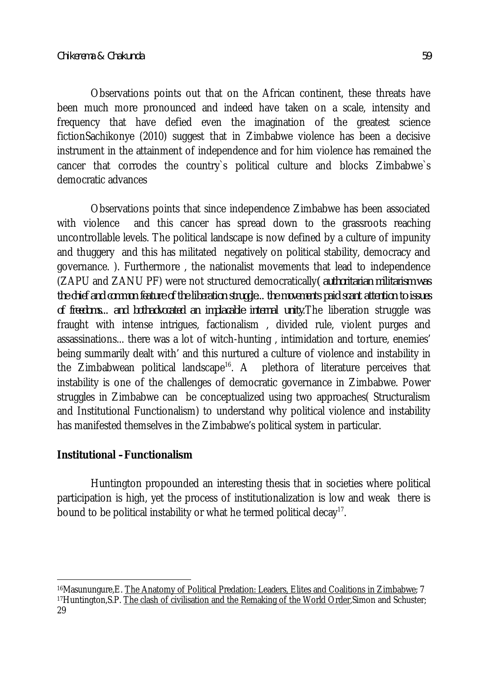Observations points out that on the African continent, these threats have been much more pronounced and indeed have taken on a scale, intensity and frequency that have defied even the imagination of the greatest science fictionSachikonye (2010) suggest that in Zimbabwe violence has been a decisive instrument in the attainment of independence and for him violence has remained the cancer that corrodes the country`s political culture and blocks Zimbabwe`s democratic advances

Observations points that since independence Zimbabwe has been associated with violence and this cancer has spread down to the grassroots reaching uncontrollable levels. The political landscape is now defined by a culture of impunity and thuggery and this has militated negatively on political stability, democracy and governance. ). Furthermore , the nationalist movements that lead to independence (ZAPU and ZANU PF) were not structured democratically*( authoritarian militarism was the chief and common feature of the liberation struggle... the movements paid scant attention to issues of freedoms... and bothadvocated an implacable internal unity*.The liberation struggle was fraught with intense intrigues, factionalism , divided rule, violent purges and assassinations... there was a lot of witch-hunting , intimidation and torture, enemies' being summarily dealt with' and this nurtured a culture of violence and instability in the Zimbabwean political landscape<sup>16</sup>. A plethora of literature perceives that instability is one of the challenges of democratic governance in Zimbabwe. Power struggles in Zimbabwe can be conceptualized using two approaches( Structuralism and Institutional Functionalism) to understand why political violence and instability has manifested themselves in the Zimbabwe's political system in particular.

### **Institutional –Functionalism**

Huntington propounded an interesting thesis that in societies where political participation is high, yet the process of institutionalization is low and weak there is bound to be political instability or what he termed political decay $^{\text{17}}$ .

 $\overline{\phantom{a}}$ <sup>16</sup>Masunungure,E. <u>The Anatomy of Political Predation: Leaders, Elites and Coalitions in Zimbabwe; 7</u> 17Huntington, S.P. The clash of civilisation and the Remaking of the World Order, Simon and Schuster; 29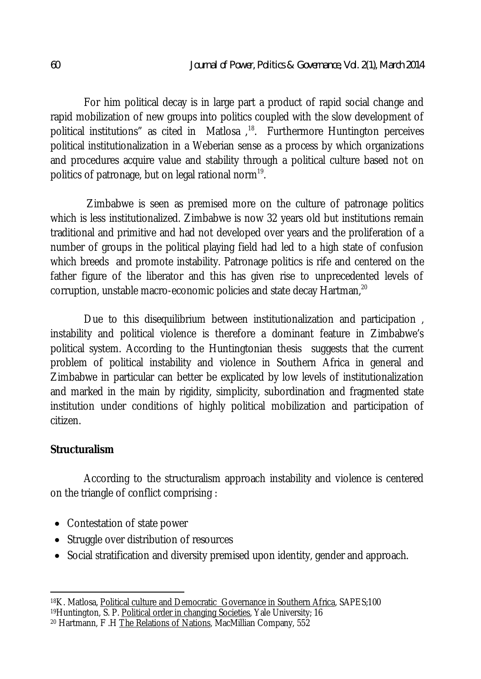For him political decay is in large part a product of rapid social change and rapid mobilization of new groups into politics coupled with the slow development of political institutions" as cited in Matlosa<sup>, 18</sup>. Furthermore Huntington perceives political institutionalization in a Weberian sense as a process by which organizations and procedures acquire value and stability through a political culture based not on politics of patronage, but on legal rational norm $^{\mathsf{19}}$ .

Zimbabwe is seen as premised more on the culture of patronage politics which is less institutionalized. Zimbabwe is now 32 years old but institutions remain traditional and primitive and had not developed over years and the proliferation of a number of groups in the political playing field had led to a high state of confusion which breeds and promote instability. Patronage politics is rife and centered on the father figure of the liberator and this has given rise to unprecedented levels of corruption, unstable macro-economic policies and state decay Hartman,<sup>20</sup>

Due to this disequilibrium between institutionalization and participation, instability and political violence is therefore a dominant feature in Zimbabwe's political system. According to the Huntingtonian thesis suggests that the current problem of political instability and violence in Southern Africa in general and Zimbabwe in particular can better be explicated by low levels of institutionalization and marked in the main by rigidity, simplicity, subordination and fragmented state institution under conditions of highly political mobilization and participation of citizen.

## **Structuralism**

According to the structuralism approach instability and violence is centered on the triangle of conflict comprising :

- Contestation of state power
- Struggle over distribution of resources
- Social stratification and diversity premised upon identity, gender and approach.

 $\overline{a}$ <sup>18</sup>K. Matlosa, <u>Political culture and Democratic Governance in Southern Africa,</u> SAPES;100 19 Huntington, S. P. Political order in changing Societies, Yale University; 16 <sup>20</sup> Hartmann, F .H The Relations of Nations, MacMillian Company, 552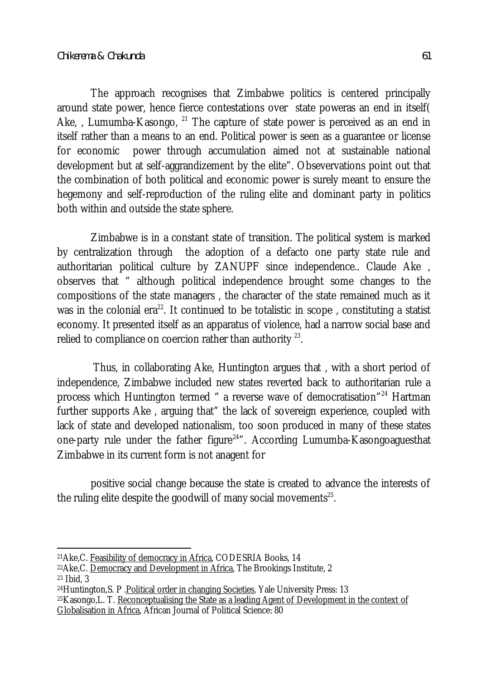The approach recognises that Zimbabwe politics is centered principally around state power, hence fierce contestations over state poweras an end in itself( Ake,, Lumumba-Kasongo,  $^{21}$  The capture of state power is perceived as an end in itself rather than a means to an end. Political power is seen as a guarantee or license for economic power through accumulation aimed not at sustainable national development but at self-aggrandizement by the elite". Obsevervations point out that the combination of both political and economic power is surely meant to ensure the hegemony and self-reproduction of the ruling elite and dominant party in politics both within and outside the state sphere.

Zimbabwe is in a constant state of transition. The political system is marked by centralization through the adoption of a defacto one party state rule and authoritarian political culture by ZANUPF since independence.. Claude Ake observes that " although political independence brought some changes to the compositions of the state managers , the character of the state remained much as it was in the colonial era<sup>22</sup>. It continued to be totalistic in scope, constituting a statist economy. It presented itself as an apparatus of violence, had a narrow social base and relied to compliance on coercion rather than authority  $^{\mathsf{23}}$ .

Thus, in collaborating Ake, Huntington argues that , with a short period of independence, Zimbabwe included new states reverted back to authoritarian rule a process which Huntington termed " a reverse wave of democratisation"<sup>24</sup> Hartman further supports Ake , arguing that" the lack of sovereign experience, coupled with lack of state and developed nationalism, too soon produced in many of these states one-party rule under the father figure<sup>24</sup>". According Lumumba-Kasongoaguesthat Zimbabwe in its current form is not anagent for

positive social change because the state is created to advance the interests of the ruling elite despite the goodwill of many social movements $^{\rm 25}.$ 

 $\overline{a}$ <sup>21</sup>Ake,C. Feasibility of democracy in Africa, CODESRIA Books, 14

<sup>22</sup>Ake,C. Democracy and Development in Africa, The Brookings Institute, 2 <sup>23</sup> Ibid, 3

<sup>24</sup>Huntington,S. P .Political order in changing Societies, Yale University Press: 13

<sup>25</sup>Kasongo,L. T. Reconceptualising the State as a leading Agent of Development in the context of Globalisation in Africa, African Journal of Political Science: 80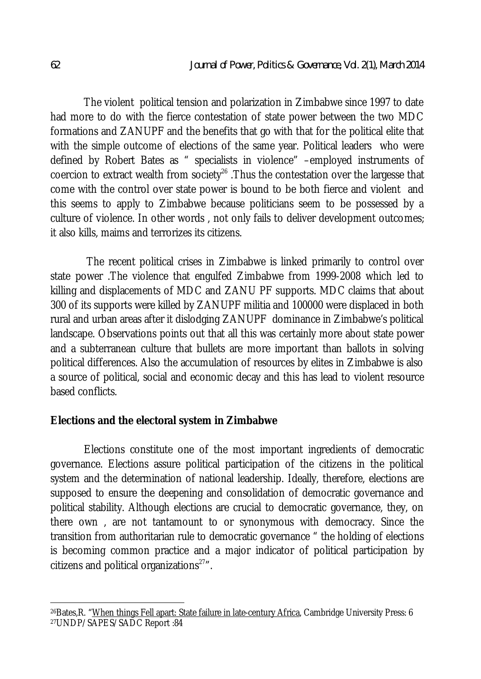The violent political tension and polarization in Zimbabwe since 1997 to date had more to do with the fierce contestation of state power between the two MDC formations and ZANUPF and the benefits that go with that for the political elite that with the simple outcome of elections of the same year. Political leaders who were defined by Robert Bates as " specialists in violence" –employed instruments of coercion to extract wealth from society<sup>26</sup>. Thus the contestation over the largesse that come with the control over state power is bound to be both fierce and violent and this seems to apply to Zimbabwe because politicians seem to be possessed by a culture of violence. In other words , not only fails to deliver development outcomes; it also kills, maims and terrorizes its citizens.

The recent political crises in Zimbabwe is linked primarily to control over state power .The violence that engulfed Zimbabwe from 1999-2008 which led to killing and displacements of MDC and ZANU PF supports. MDC claims that about 300 of its supports were killed by ZANUPF militia and 100000 were displaced in both rural and urban areas after it dislodging ZANUPF dominance in Zimbabwe's political landscape. Observations points out that all this was certainly more about state power and a subterranean culture that bullets are more important than ballots in solving political differences. Also the accumulation of resources by elites in Zimbabwe is also a source of political, social and economic decay and this has lead to violent resource based conflicts.

### **Elections and the electoral system in Zimbabwe**

Elections constitute one of the most important ingredients of democratic governance. Elections assure political participation of the citizens in the political system and the determination of national leadership. Ideally, therefore, elections are supposed to ensure the deepening and consolidation of democratic governance and political stability. Although elections are crucial to democratic governance, they, on there own , are not tantamount to or synonymous with democracy. Since the transition from authoritarian rule to democratic governance " the holding of elections is becoming common practice and a major indicator of political participation by citizens and political organizations $27''$ .

 $\overline{a}$ <sup>26</sup>Bates,R. "<u>When things Fell apart: State failure in late-century Africa</u>, Cambridge University Press: 6 27UNDP/SAPES/SADC Report :84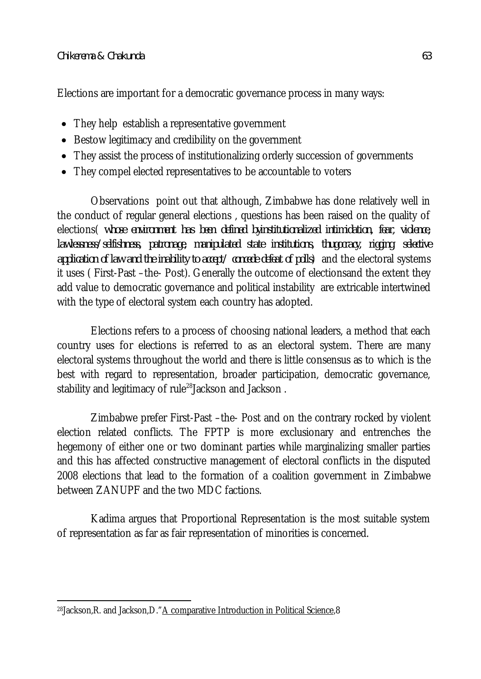Elections are important for a democratic governance process in many ways:

- They help establish a representative government
- Bestow legitimacy and credibility on the government
- They assist the process of institutionalizing orderly succession of governments
- They compel elected representatives to be accountable to voters

Observations point out that although, Zimbabwe has done relatively well in the conduct of regular general elections , questions has been raised on the quality of elections( *whose environment has been defined byinstitutionalized intimidation, fear, violence, lawlessness/selfishness, patronage, manipulated state institutions, thugocracy, rigging*, *selective application of law and the inability to accept/ concede defeat of polls*) and the electoral systems it uses ( First-Past –the- Post). Generally the outcome of electionsand the extent they add value to democratic governance and political instability are extricable intertwined with the type of electoral system each country has adopted.

Elections refers to a process of choosing national leaders, a method that each country uses for elections is referred to as an electoral system. There are many electoral systems throughout the world and there is little consensus as to which is the best with regard to representation, broader participation, democratic governance, stability and legitimacy of rule<sup>28</sup>Jackson and Jackson.

Zimbabwe prefer First-Past –the- Post and on the contrary rocked by violent election related conflicts. The FPTP is more exclusionary and entrenches the hegemony of either one or two dominant parties while marginalizing smaller parties and this has affected constructive management of electoral conflicts in the disputed 2008 elections that lead to the formation of a coalition government in Zimbabwe between ZANUPF and the two MDC factions.

Kadima argues that Proportional Representation is the most suitable system of representation as far as fair representation of minorities is concerned.

 $\overline{\phantom{a}}$ 28 Jackson, R. and Jackson, D. "A comparative Introduction in Political Science, 8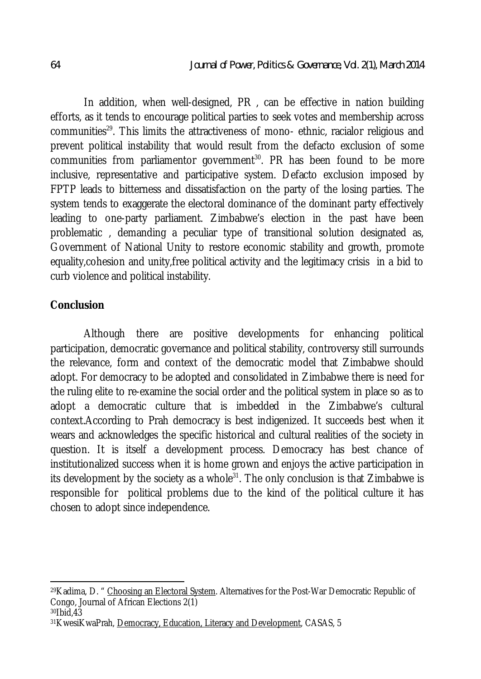In addition, when well-designed, PR , can be effective in nation building efforts, as it tends to encourage political parties to seek votes and membership across communities<sup>29</sup>. This limits the attractiveness of mono- ethnic, racialor religious and prevent political instability that would result from the defacto exclusion of some communities from parliamentor government<sup>30</sup>. PR has been found to be more inclusive, representative and participative system. Defacto exclusion imposed by FPTP leads to bitterness and dissatisfaction on the party of the losing parties. The system tends to exaggerate the electoral dominance of the dominant party effectively leading to one-party parliament. Zimbabwe's election in the past have been problematic , demanding a peculiar type of transitional solution designated as, Government of National Unity to restore economic stability and growth, promote equality,cohesion and unity,free political activity and the legitimacy crisis in a bid to curb violence and political instability.

#### **Conclusion**

Although there are positive developments for enhancing political participation, democratic governance and political stability, controversy still surrounds the relevance, form and context of the democratic model that Zimbabwe should adopt. For democracy to be adopted and consolidated in Zimbabwe there is need for the ruling elite to re-examine the social order and the political system in place so as to adopt a democratic culture that is imbedded in the Zimbabwe's cultural context.According to Prah democracy is best indigenized. It succeeds best when it wears and acknowledges the specific historical and cultural realities of the society in question. It is itself a development process. Democracy has best chance of institutionalized success when it is home grown and enjoys the active participation in its development by the society as a whole $31$ . The only conclusion is that Zimbabwe is responsible for political problems due to the kind of the political culture it has chosen to adopt since independence.

 $\overline{a}$ <sup>29</sup>Kadima, D. " <u>Choosing an Electoral System</u>. Alternatives for the Post-War Democratic Republic of Congo, Journal of African Elections 2(1) <sup>30</sup>Ibid,43

<sup>31</sup>KwesiKwaPrah, Democracy, Education, Literacy and Development, CASAS, 5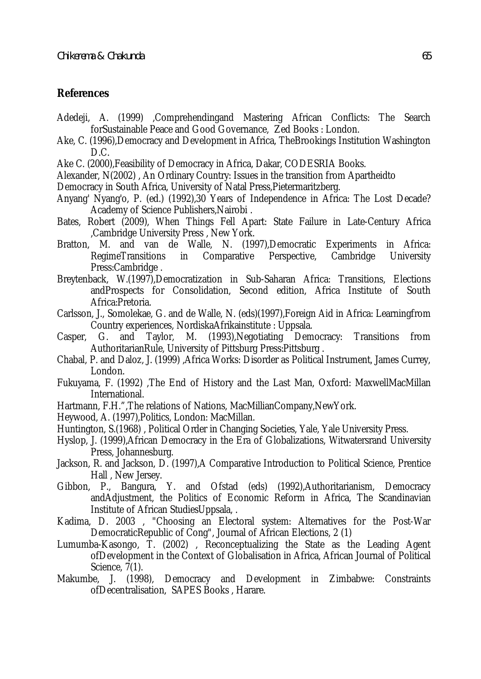#### **References**

- Adedeji, A. (1999) ,Comprehendingand Mastering African Conflicts: The Search forSustainable Peace and Good Governance, Zed Books : London.
- Ake, C. (1996),Democracy and Development in Africa, TheBrookings Institution Washington D.C.
- Ake C. (2000),Feasibility of Democracy in Africa, Dakar, CODESRIA Books.
- Alexander, N(2002) , An Ordinary Country: Issues in the transition from Apartheidto
- Democracy in South Africa, University of Natal Press,Pietermaritzberg.
- Anyang' Nyang'o, P. (ed.) (1992),30 Years of Independence in Africa: The Lost Decade? Academy of Science Publishers,Nairobi .
- Bates, Robert (2009), When Things Fell Apart: State Failure in Late-Century Africa ,Cambridge University Press , New York.
- Bratton, M. and van de Walle, N. (1997),Democratic Experiments in Africa: RegimeTransitions in Comparative Perspective, Cambridge University Press:Cambridge .
- Breytenback, W.(1997),Democratization in Sub-Saharan Africa: Transitions, Elections andProspects for Consolidation, Second edition, Africa Institute of South Africa:Pretoria.
- Carlsson, J., Somolekae, G. and de Walle, N. (eds)(1997),Foreign Aid in Africa: Learningfrom Country experiences, NordiskaAfrikainstitute : Uppsala.
- Casper, G. and Taylor, M. (1993),Negotiating Democracy: Transitions from AuthoritarianRule, University of Pittsburg Press:Pittsburg .
- Chabal, P. and Daloz, J. (1999) ,Africa Works: Disorder as Political Instrument, James Currey, London.
- Fukuyama, F. (1992) ,The End of History and the Last Man, Oxford: MaxwellMacMillan International.
- Hartmann, F.H.",The relations of Nations, MacMillianCompany,NewYork.
- Heywood, A. (1997),Politics, London: MacMillan.
- Huntington, S.(1968) , Political Order in Changing Societies, Yale, Yale University Press.
- Hyslop, J. (1999),African Democracy in the Era of Globalizations, Witwatersrand University Press, Johannesburg.
- Jackson, R. and Jackson, D. (1997), A Comparative Introduction to Political Science, Prentice Hall , New Jersey.
- Gibbon, P., Bangura, Y. and Ofstad (eds) (1992),Authoritarianism, Democracy andAdjustment, the Politics of Economic Reform in Africa, The Scandinavian Institute of African StudiesUppsala, .
- Kadima, D. 2003 , "Choosing an Electoral system: Alternatives for the Post-War DemocraticRepublic of Cong", Journal of African Elections, 2 (1)
- Lumumba-Kasongo, T. (2002) , Reconceptualizing the State as the Leading Agent ofDevelopment in the Context of Globalisation in Africa, African Journal of Political Science, 7(1).<br>Makumbe, J. (1998).
- Democracy and Development in Zimbabwe: Constraints ofDecentralisation, SAPES Books , Harare.